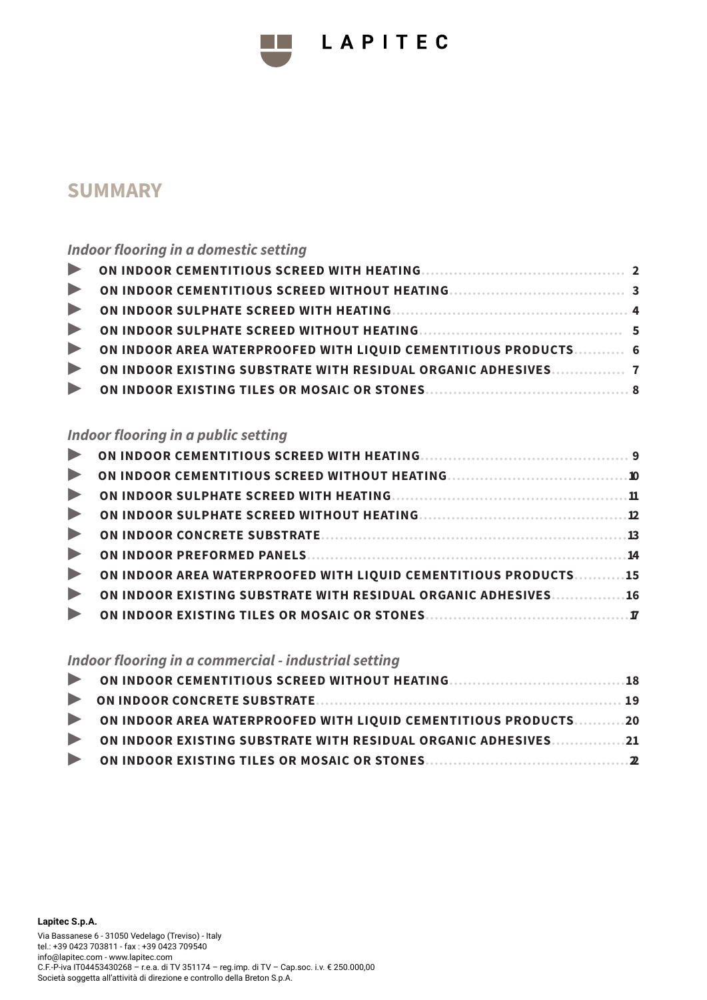# **SUMMARY**

## *Indoor flooring in a domestic setting*

| ON INDOOR AREA WATERPROOFED WITH LIQUID CEMENTITIOUS PRODUCTS 6 |  |
|-----------------------------------------------------------------|--|
| ON INDOOR EXISTING SUBSTRATE WITH RESIDUAL ORGANIC ADHESIVES 7  |  |
|                                                                 |  |

LAPITEC

### *Indoor flooring in a public setting*

| ON INDOOR AREA WATERPROOFED WITH LIQUID CEMENTITIOUS PRODUCTS15 |
|-----------------------------------------------------------------|
| ON INDOOR EXISTING SUBSTRATE WITH RESIDUAL ORGANIC ADHESIVES16  |
|                                                                 |
|                                                                 |

## *Indoor flooring in a commercial - industrial setting*

| ON INDOOR AREA WATERPROOFED WITH LIQUID CEMENTITIOUS PRODUCTS20 |  |
|-----------------------------------------------------------------|--|
| ON INDOOR EXISTING SUBSTRATE WITH RESIDUAL ORGANIC ADHESIVES21  |  |
|                                                                 |  |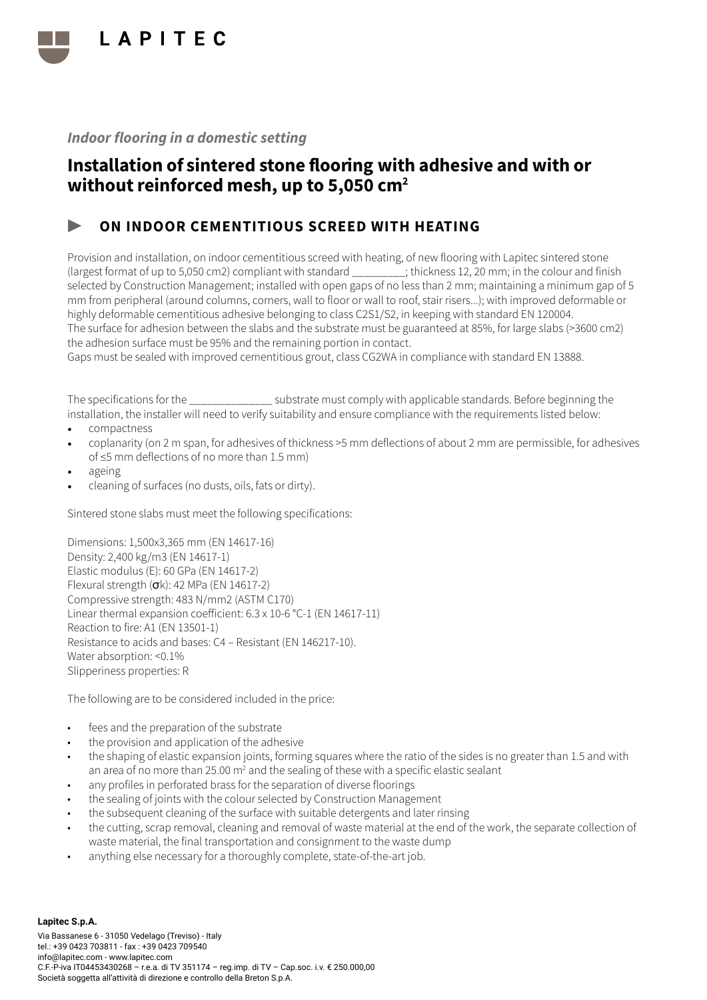

## Installation of sintered stone flooring with adhesive and with or without reinforced mesh, up to 5,050 cm<sup>2</sup>

### ON INDOOR CEMENTITIOUS SCREED WITH HEATING

Provision and installation, on indoor cementitious screed with heating, of new flooring with Lapitec sintered stone (largest format of up to 5,050 cm2) compliant with standard \_\_\_\_\_\_\_\_\_; thickness 12, 20 mm; in the colour and finish selected by Construction Management; installed with open gaps of no less than 2 mm; maintaining a minimum gap of 5 mm from peripheral (around columns, corners, wall to floor or wall to roof, stair risers...); with improved deformable or highly deformable cementitious adhesive belonging to class C2S1/S2, in keeping with standard EN 120004. The surface for adhesion between the slabs and the substrate must be guaranteed at 85%, for large slabs (>3600 cm2) the adhesion surface must be 95% and the remaining portion in contact.

Gaps must be sealed with improved cementitious grout, class CG2WA in compliance with standard EN 13888.

The specifications for the \_\_\_\_\_\_\_\_\_\_\_\_\_\_ substrate must comply with applicable standards. Before beginning the installation, the installer will need to verify suitability and ensure compliance with the requirements listed below:

- compactness
- coplanarity (on 2 m span, for adhesives of thickness >5 mm deflections of about 2 mm are permissible, for adhesives of ≤5 mm deflections of no more than 1.5 mm)
- ageing
- cleaning of surfaces (no dusts, oils, fats or dirty).

Sintered stone slabs must meet the following specifications:

Dimensions: 1,500x3,365 mm (EN 14617-16) Density: 2,400 kg/m3 (EN 14617-1) Elastic modulus (E): 60 GPa (EN 14617-2) Flexural strength  $(\sigma k)$ : 42 MPa (EN 14617-2) Compressive strength: 483 N/mm2 (ASTM C170) Linear thermal expansion coefficient: 6.3 x 10-6 °C-1 (EN 14617-11) Reaction to fire: A1 (EN 13501-1) Resistance to acids and bases: C4 – Resistant (EN 146217-10). Water absorption: <0.1% Slipperiness properties: R

- fees and the preparation of the substrate
- the provision and application of the adhesive
- the shaping of elastic expansion joints, forming squares where the ratio of the sides is no greater than 1.5 and with an area of no more than 25.00 m<sup>2</sup> and the sealing of these with a specific elastic sealant
- any profiles in perforated brass for the separation of diverse floorings
- the sealing of joints with the colour selected by Construction Management
- the subsequent cleaning of the surface with suitable detergents and later rinsing
- the cutting, scrap removal, cleaning and removal of waste material at the end of the work, the separate collection of waste material, the final transportation and consignment to the waste dump
- anything else necessary for a thoroughly complete, state-of-the-art job.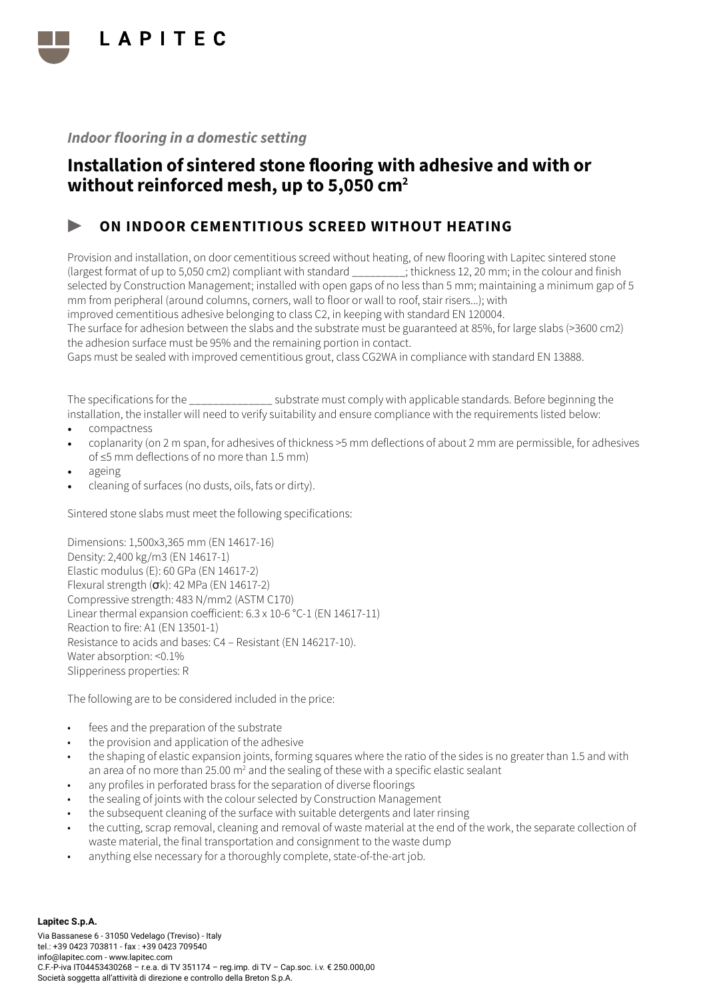

## Installation of sintered stone flooring with adhesive and with or without reinforced mesh, up to 5,050 cm<sup>2</sup>

### ON INDOOR CEMENTITIOUS SCREED WITHOUT HEATING

Provision and installation, on door cementitious screed without heating, of new flooring with Lapitec sintered stone (largest format of up to 5,050 cm2) compliant with standard \_\_\_\_\_\_\_\_\_; thickness 12, 20 mm; in the colour and finish selected by Construction Management; installed with open gaps of no less than 5 mm; maintaining a minimum gap of 5 mm from peripheral (around columns, corners, wall to floor or wall to roof, stair risers...); with improved cementitious adhesive belonging to class C2, in keeping with standard EN 120004.

The surface for adhesion between the slabs and the substrate must be guaranteed at 85%, for large slabs (>3600 cm2) the adhesion surface must be 95% and the remaining portion in contact.

Gaps must be sealed with improved cementitious grout, class CG2WA in compliance with standard EN 13888.

The specifications for the \_\_\_\_\_\_\_\_\_\_\_\_\_\_ substrate must comply with applicable standards. Before beginning the installation, the installer will need to verify suitability and ensure compliance with the requirements listed below:

- compactness
- coplanarity (on 2 m span, for adhesives of thickness >5 mm deflections of about 2 mm are permissible, for adhesives of ≤5 mm deflections of no more than 1.5 mm)
- ageing
- cleaning of surfaces (no dusts, oils, fats or dirty).

Sintered stone slabs must meet the following specifications:

Dimensions: 1,500x3,365 mm (EN 14617-16) Density: 2,400 kg/m3 (EN 14617-1) Elastic modulus (E): 60 GPa (EN 14617-2) Flexural strength  $(\sigma k)$ : 42 MPa (EN 14617-2) Compressive strength: 483 N/mm2 (ASTM C170) Linear thermal expansion coefficient: 6.3 x 10-6 °C-1 (EN 14617-11) Reaction to fire: A1 (EN 13501-1) Resistance to acids and bases: C4 – Resistant (EN 146217-10). Water absorption: <0.1% Slipperiness properties: R

- fees and the preparation of the substrate
- the provision and application of the adhesive
- the shaping of elastic expansion joints, forming squares where the ratio of the sides is no greater than 1.5 and with an area of no more than 25.00 m<sup>2</sup> and the sealing of these with a specific elastic sealant
- any profiles in perforated brass for the separation of diverse floorings
- the sealing of joints with the colour selected by Construction Management
- the subsequent cleaning of the surface with suitable detergents and later rinsing
- the cutting, scrap removal, cleaning and removal of waste material at the end of the work, the separate collection of waste material, the final transportation and consignment to the waste dump
- anything else necessary for a thoroughly complete, state-of-the-art job.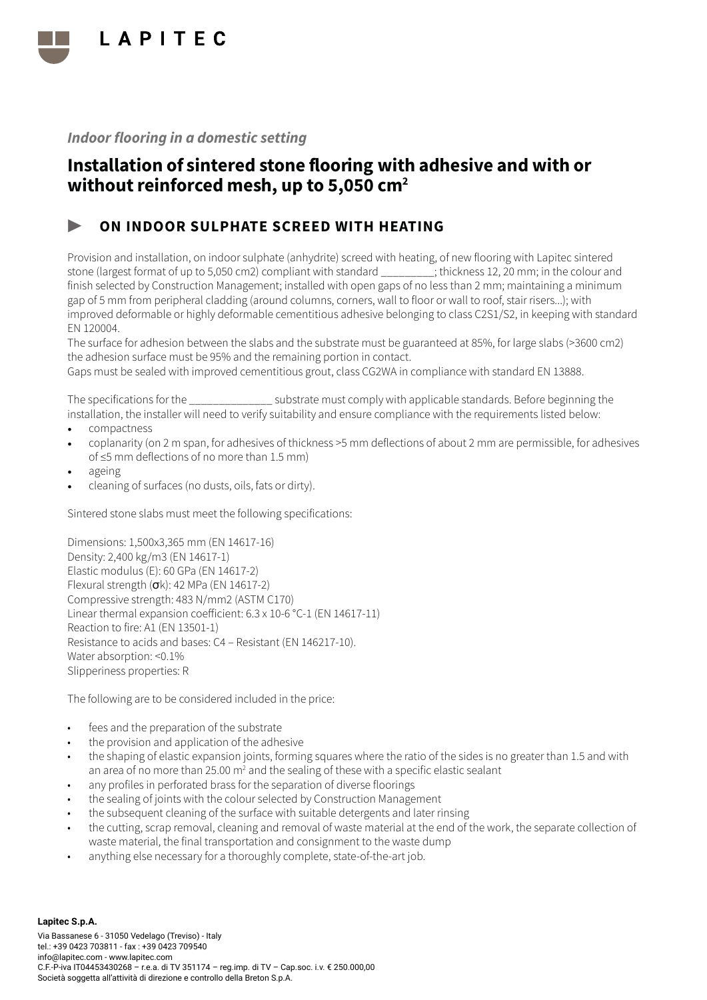

## Installation of sintered stone flooring with adhesive and with or without reinforced mesh, up to 5,050 cm<sup>2</sup>

### ON INDOOR SULPHATE SCREED WITH HEATING

Provision and installation, on indoor sulphate (anhydrite) screed with heating, of new flooring with Lapitec sintered stone (largest format of up to 5,050 cm2) compliant with standard \_\_\_\_\_\_\_\_\_; thickness 12, 20 mm; in the colour and finish selected by Construction Management; installed with open gaps of no less than 2 mm; maintaining a minimum gap of 5 mm from peripheral cladding (around columns, corners, wall to floor or wall to roof, stair risers...); with improved deformable or highly deformable cementitious adhesive belonging to class C2S1/S2, in keeping with standard EN 120004.

The surface for adhesion between the slabs and the substrate must be guaranteed at 85%, for large slabs (>3600 cm2) the adhesion surface must be 95% and the remaining portion in contact.

Gaps must be sealed with improved cementitious grout, class CG2WA in compliance with standard EN 13888.

The specifications for the \_\_\_\_\_\_\_\_\_\_\_\_\_\_ substrate must comply with applicable standards. Before beginning the installation, the installer will need to verify suitability and ensure compliance with the requirements listed below:

- compactness
- coplanarity (on 2 m span, for adhesives of thickness >5 mm deflections of about 2 mm are permissible, for adhesives of ≤5 mm deflections of no more than 1.5 mm)
- ageing
- cleaning of surfaces (no dusts, oils, fats or dirty).

Sintered stone slabs must meet the following specifications:

Dimensions: 1,500x3,365 mm (EN 14617-16) Density: 2,400 kg/m3 (EN 14617-1) Elastic modulus (E): 60 GPa (EN 14617-2) Flexural strength  $(\sigma k)$ : 42 MPa (EN 14617-2) Compressive strength: 483 N/mm2 (ASTM C170) Linear thermal expansion coefficient: 6.3 x 10-6 °C-1 (EN 14617-11) Reaction to fire: A1 (EN 13501-1) Resistance to acids and bases: C4 – Resistant (EN 146217-10). Water absorption: <0.1% Slipperiness properties: R

- fees and the preparation of the substrate
- the provision and application of the adhesive
- the shaping of elastic expansion joints, forming squares where the ratio of the sides is no greater than 1.5 and with an area of no more than 25.00 m<sup>2</sup> and the sealing of these with a specific elastic sealant
- any profiles in perforated brass for the separation of diverse floorings
- the sealing of joints with the colour selected by Construction Management
- the subsequent cleaning of the surface with suitable detergents and later rinsing
- the cutting, scrap removal, cleaning and removal of waste material at the end of the work, the separate collection of waste material, the final transportation and consignment to the waste dump
- anything else necessary for a thoroughly complete, state-of-the-art job.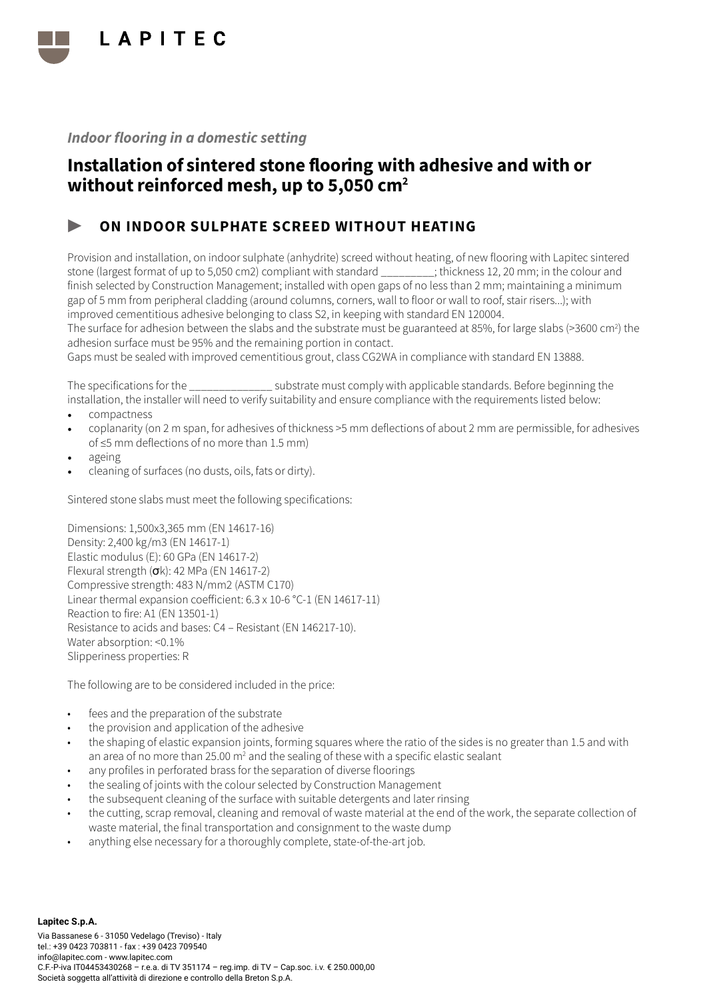

## Installation of sintered stone flooring with adhesive and with or without reinforced mesh, up to 5,050 cm<sup>2</sup>

### ON INDOOR SULPHATE SCREED WITHOUT HEATING

Provision and installation, on indoor sulphate (anhydrite) screed without heating, of new flooring with Lapitec sintered stone (largest format of up to 5,050 cm2) compliant with standard \_\_\_\_\_\_\_\_\_; thickness 12, 20 mm; in the colour and finish selected by Construction Management; installed with open gaps of no less than 2 mm; maintaining a minimum gap of 5 mm from peripheral cladding (around columns, corners, wall to floor or wall to roof, stair risers...); with improved cementitious adhesive belonging to class S2, in keeping with standard EN 120004.

The surface for adhesion between the slabs and the substrate must be guaranteed at 85%, for large slabs (>3600 cm<sup>2</sup>) the adhesion surface must be 95% and the remaining portion in contact.

Gaps must be sealed with improved cementitious grout, class CG2WA in compliance with standard EN 13888.

The specifications for the  $\sim$  substrate must comply with applicable standards. Before beginning the installation, the installer will need to verify suitability and ensure compliance with the requirements listed below:

- compactness
- coplanarity (on 2 m span, for adhesives of thickness >5 mm deflections of about 2 mm are permissible, for adhesives of ≤5 mm deflections of no more than 1.5 mm)
- ageing
- cleaning of surfaces (no dusts, oils, fats or dirty).

Sintered stone slabs must meet the following specifications:

Dimensions: 1,500x3,365 mm (EN 14617-16) Density: 2,400 kg/m3 (EN 14617-1) Elastic modulus (E): 60 GPa (EN 14617-2) Flexural strength (σk): 42 MPa (EN 14617-2) Compressive strength: 483 N/mm2 (ASTM C170) Linear thermal expansion coefficient: 6.3 x 10-6 °C-1 (EN 14617-11) Reaction to fire: A1 (EN 13501-1) Resistance to acids and bases: C4 – Resistant (EN 146217-10). Water absorption: <0.1% Slipperiness properties: R

- fees and the preparation of the substrate
- the provision and application of the adhesive
- the shaping of elastic expansion joints, forming squares where the ratio of the sides is no greater than 1.5 and with an area of no more than 25.00 m<sup>2</sup> and the sealing of these with a specific elastic sealant
- any profiles in perforated brass for the separation of diverse floorings
- the sealing of joints with the colour selected by Construction Management
- the subsequent cleaning of the surface with suitable detergents and later rinsing
- the cutting, scrap removal, cleaning and removal of waste material at the end of the work, the separate collection of waste material, the final transportation and consignment to the waste dump
- anything else necessary for a thoroughly complete, state-of-the-art job.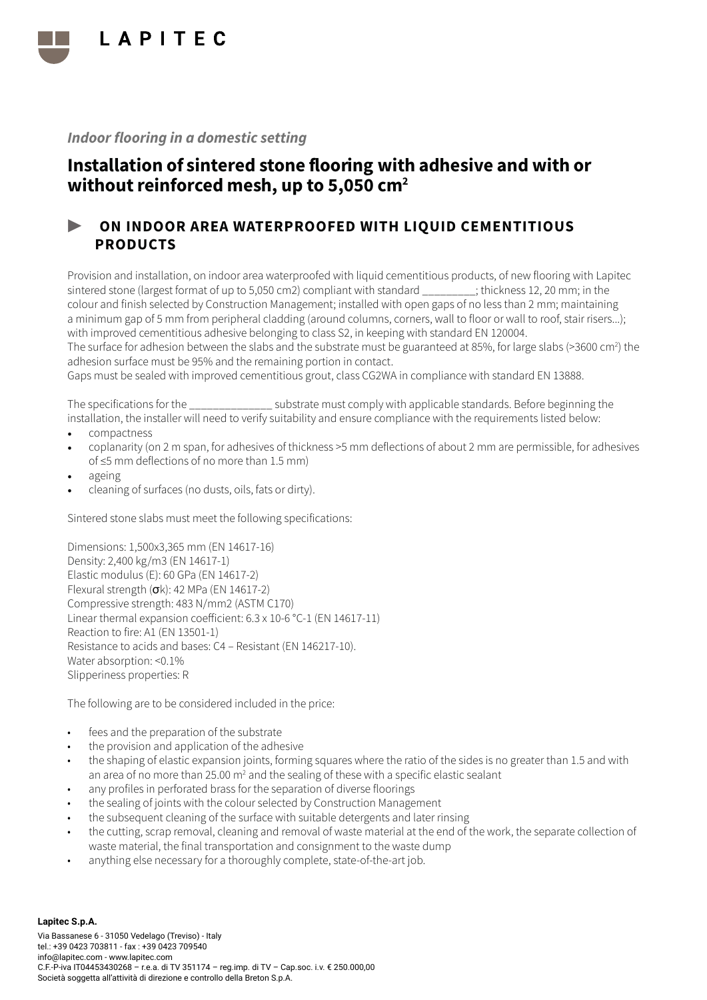

## Installation of sintered stone flooring with adhesive and with or without reinforced mesh, up to 5,050 cm<sup>2</sup>

### ▶ ON INDOOR AREA WATERPROOFED WITH LIQUID CEMENTITIOUS PRODUCTS

Provision and installation, on indoor area waterproofed with liquid cementitious products, of new flooring with Lapitec sintered stone (largest format of up to 5,050 cm2) compliant with standard ; thickness 12, 20 mm; in the colour and finish selected by Construction Management; installed with open gaps of no less than 2 mm; maintaining a minimum gap of 5 mm from peripheral cladding (around columns, corners, wall to floor or wall to roof, stair risers...); with improved cementitious adhesive belonging to class S2, in keeping with standard EN 120004.

The surface for adhesion between the slabs and the substrate must be guaranteed at 85%, for large slabs (>3600 cm<sup>2</sup>) the adhesion surface must be 95% and the remaining portion in contact.

Gaps must be sealed with improved cementitious grout, class CG2WA in compliance with standard EN 13888.

The specifications for the  $\qquad \qquad$  substrate must comply with applicable standards. Before beginning the installation, the installer will need to verify suitability and ensure compliance with the requirements listed below:

- compactness
- coplanarity (on 2 m span, for adhesives of thickness >5 mm deflections of about 2 mm are permissible, for adhesives of ≤5 mm deflections of no more than 1.5 mm)
- ageing
- cleaning of surfaces (no dusts, oils, fats or dirty).

Sintered stone slabs must meet the following specifications:

Dimensions: 1,500x3,365 mm (EN 14617-16) Density: 2,400 kg/m3 (EN 14617-1) Elastic modulus (E): 60 GPa (EN 14617-2) Flexural strength (σk): 42 MPa (EN 14617-2) Compressive strength: 483 N/mm2 (ASTM C170) Linear thermal expansion coefficient: 6.3 x 10-6 °C-1 (EN 14617-11) Reaction to fire: A1 (EN 13501-1) Resistance to acids and bases: C4 – Resistant (EN 146217-10). Water absorption: <0.1% Slipperiness properties: R

The following are to be considered included in the price:

- fees and the preparation of the substrate
- the provision and application of the adhesive
- the shaping of elastic expansion joints, forming squares where the ratio of the sides is no greater than 1.5 and with an area of no more than 25.00 m<sup>2</sup> and the sealing of these with a specific elastic sealant
- any profiles in perforated brass for the separation of diverse floorings
- the sealing of joints with the colour selected by Construction Management
- the subsequent cleaning of the surface with suitable detergents and later rinsing
- the cutting, scrap removal, cleaning and removal of waste material at the end of the work, the separate collection of waste material, the final transportation and consignment to the waste dump
- anything else necessary for a thoroughly complete, state-of-the-art job.

**Lapitec S.p.A.** Via Bassanese 6 - 31050 Vedelago (Treviso) - Italy tel.: +39 0423 703811 - fax : +39 0423 709540 info@lapitec.com - www.lapitec.com C.F.-P-iva IT04453430268 – r.e.a. di TV 351174 – reg.imp. di TV – Cap.soc. i.v. € 250.000,00 Società soggetta all'attività di direzione e controllo della Breton S.p.A.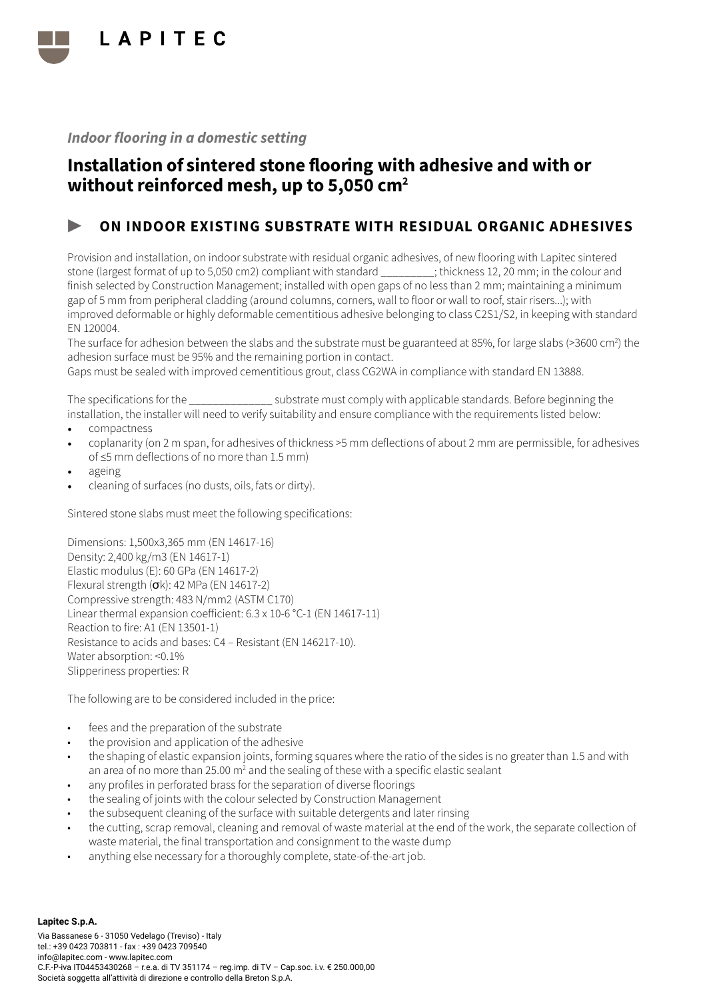

## Installation of sintered stone flooring with adhesive and with or without reinforced mesh, up to 5,050 cm<sup>2</sup>

### ON INDOOR EXISTING SUBSTRATE WITH RESIDUAL ORGANIC ADHESIVES

Provision and installation, on indoor substrate with residual organic adhesives, of new flooring with Lapitec sintered stone (largest format of up to 5,050 cm2) compliant with standard \_\_\_\_\_\_\_\_\_; thickness 12, 20 mm; in the colour and finish selected by Construction Management; installed with open gaps of no less than 2 mm; maintaining a minimum gap of 5 mm from peripheral cladding (around columns, corners, wall to floor or wall to roof, stair risers...); with improved deformable or highly deformable cementitious adhesive belonging to class C2S1/S2, in keeping with standard EN 120004.

The surface for adhesion between the slabs and the substrate must be guaranteed at 85%, for large slabs (>3600 cm<sup>2</sup>) the adhesion surface must be 95% and the remaining portion in contact.

Gaps must be sealed with improved cementitious grout, class CG2WA in compliance with standard EN 13888.

The specifications for the \_\_\_\_\_\_\_\_\_\_\_\_\_\_ substrate must comply with applicable standards. Before beginning the installation, the installer will need to verify suitability and ensure compliance with the requirements listed below:

- compactness
- coplanarity (on 2 m span, for adhesives of thickness >5 mm deflections of about 2 mm are permissible, for adhesives of ≤5 mm deflections of no more than 1.5 mm)
- ageing
- cleaning of surfaces (no dusts, oils, fats or dirty).

Sintered stone slabs must meet the following specifications:

Dimensions: 1,500x3,365 mm (EN 14617-16) Density: 2,400 kg/m3 (EN 14617-1) Elastic modulus (E): 60 GPa (EN 14617-2) Flexural strength  $(\sigma k)$ : 42 MPa (EN 14617-2) Compressive strength: 483 N/mm2 (ASTM C170) Linear thermal expansion coefficient: 6.3 x 10-6 °C-1 (EN 14617-11) Reaction to fire: A1 (EN 13501-1) Resistance to acids and bases: C4 – Resistant (EN 146217-10). Water absorption: <0.1% Slipperiness properties: R

- fees and the preparation of the substrate
- the provision and application of the adhesive
- the shaping of elastic expansion joints, forming squares where the ratio of the sides is no greater than 1.5 and with an area of no more than 25.00 m<sup>2</sup> and the sealing of these with a specific elastic sealant
- any profiles in perforated brass for the separation of diverse floorings
- the sealing of joints with the colour selected by Construction Management
- the subsequent cleaning of the surface with suitable detergents and later rinsing
- the cutting, scrap removal, cleaning and removal of waste material at the end of the work, the separate collection of waste material, the final transportation and consignment to the waste dump
- anything else necessary for a thoroughly complete, state-of-the-art job.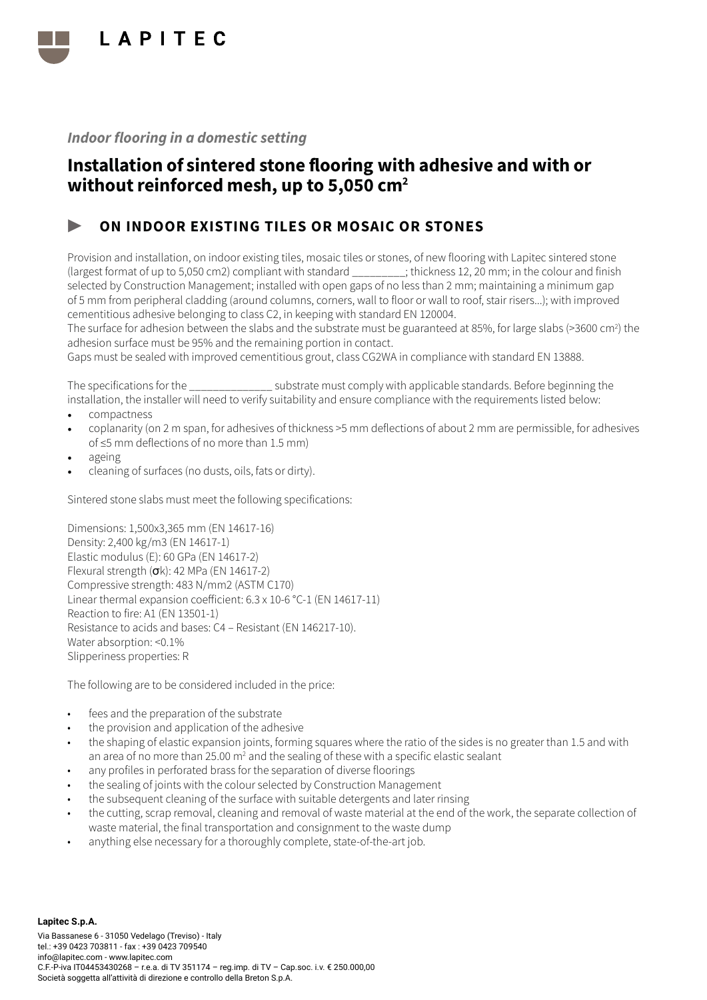

## Installation of sintered stone flooring with adhesive and with or without reinforced mesh, up to 5,050 cm<sup>2</sup>

### ON INDOOR EXISTING TILES OR MOSAIC OR STONES

Provision and installation, on indoor existing tiles, mosaic tiles or stones, of new flooring with Lapitec sintered stone (largest format of up to 5,050 cm2) compliant with standard \_\_\_\_\_\_\_\_\_; thickness 12, 20 mm; in the colour and finish selected by Construction Management; installed with open gaps of no less than 2 mm; maintaining a minimum gap of 5 mm from peripheral cladding (around columns, corners, wall to floor or wall to roof, stair risers...); with improved cementitious adhesive belonging to class C2, in keeping with standard EN 120004.

The surface for adhesion between the slabs and the substrate must be guaranteed at 85%, for large slabs (>3600 cm<sup>2</sup>) the adhesion surface must be 95% and the remaining portion in contact.

Gaps must be sealed with improved cementitious grout, class CG2WA in compliance with standard EN 13888.

The specifications for the  $\sim$  substrate must comply with applicable standards. Before beginning the installation, the installer will need to verify suitability and ensure compliance with the requirements listed below:

- compactness
- coplanarity (on 2 m span, for adhesives of thickness >5 mm deflections of about 2 mm are permissible, for adhesives of ≤5 mm deflections of no more than 1.5 mm)
- ageing
- cleaning of surfaces (no dusts, oils, fats or dirty).

Sintered stone slabs must meet the following specifications:

Dimensions: 1,500x3,365 mm (EN 14617-16) Density: 2,400 kg/m3 (EN 14617-1) Elastic modulus (E): 60 GPa (EN 14617-2) Flexural strength (σk): 42 MPa (EN 14617-2) Compressive strength: 483 N/mm2 (ASTM C170) Linear thermal expansion coefficient: 6.3 x 10-6 °C-1 (EN 14617-11) Reaction to fire: A1 (EN 13501-1) Resistance to acids and bases: C4 – Resistant (EN 146217-10). Water absorption: <0.1% Slipperiness properties: R

- fees and the preparation of the substrate
- the provision and application of the adhesive
- the shaping of elastic expansion joints, forming squares where the ratio of the sides is no greater than 1.5 and with an area of no more than 25.00 m<sup>2</sup> and the sealing of these with a specific elastic sealant
- any profiles in perforated brass for the separation of diverse floorings
- the sealing of joints with the colour selected by Construction Management
- the subsequent cleaning of the surface with suitable detergents and later rinsing
- the cutting, scrap removal, cleaning and removal of waste material at the end of the work, the separate collection of waste material, the final transportation and consignment to the waste dump
- anything else necessary for a thoroughly complete, state-of-the-art job.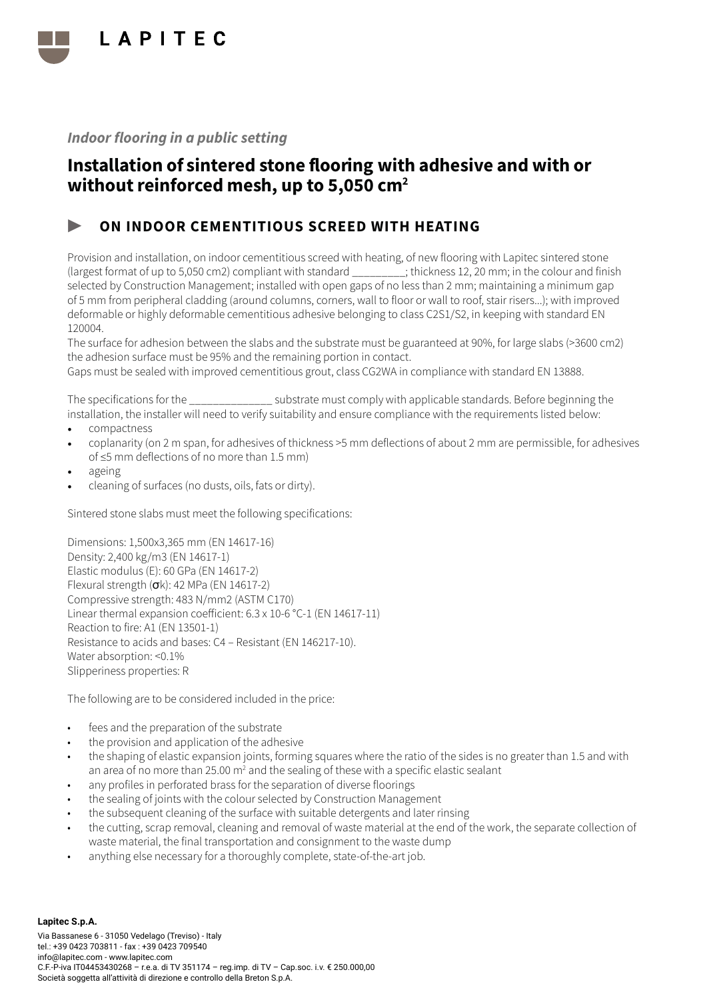

## Installation of sintered stone flooring with adhesive and with or without reinforced mesh, up to 5,050 cm<sup>2</sup>

### ON INDOOR CEMENTITIOUS SCREED WITH HEATING

Provision and installation, on indoor cementitious screed with heating, of new flooring with Lapitec sintered stone (largest format of up to 5,050 cm2) compliant with standard \_\_\_\_\_\_\_\_\_; thickness 12, 20 mm; in the colour and finish selected by Construction Management; installed with open gaps of no less than 2 mm; maintaining a minimum gap of 5 mm from peripheral cladding (around columns, corners, wall to floor or wall to roof, stair risers...); with improved deformable or highly deformable cementitious adhesive belonging to class C2S1/S2, in keeping with standard EN 120004.

The surface for adhesion between the slabs and the substrate must be guaranteed at 90%, for large slabs (>3600 cm2) the adhesion surface must be 95% and the remaining portion in contact.

Gaps must be sealed with improved cementitious grout, class CG2WA in compliance with standard EN 13888.

The specifications for the \_\_\_\_\_\_\_\_\_\_\_\_\_\_ substrate must comply with applicable standards. Before beginning the installation, the installer will need to verify suitability and ensure compliance with the requirements listed below:

- compactness
- coplanarity (on 2 m span, for adhesives of thickness >5 mm deflections of about 2 mm are permissible, for adhesives of ≤5 mm deflections of no more than 1.5 mm)
- ageing
- cleaning of surfaces (no dusts, oils, fats or dirty).

Sintered stone slabs must meet the following specifications:

Dimensions: 1,500x3,365 mm (EN 14617-16) Density: 2,400 kg/m3 (EN 14617-1) Elastic modulus (E): 60 GPa (EN 14617-2) Flexural strength  $(\sigma k)$ : 42 MPa (EN 14617-2) Compressive strength: 483 N/mm2 (ASTM C170) Linear thermal expansion coefficient: 6.3 x 10-6 °C-1 (EN 14617-11) Reaction to fire: A1 (EN 13501-1) Resistance to acids and bases: C4 – Resistant (EN 146217-10). Water absorption: <0.1% Slipperiness properties: R

- fees and the preparation of the substrate
- the provision and application of the adhesive
- the shaping of elastic expansion joints, forming squares where the ratio of the sides is no greater than 1.5 and with an area of no more than 25.00 m<sup>2</sup> and the sealing of these with a specific elastic sealant
- any profiles in perforated brass for the separation of diverse floorings
- the sealing of joints with the colour selected by Construction Management
- the subsequent cleaning of the surface with suitable detergents and later rinsing
- the cutting, scrap removal, cleaning and removal of waste material at the end of the work, the separate collection of waste material, the final transportation and consignment to the waste dump
- anything else necessary for a thoroughly complete, state-of-the-art job.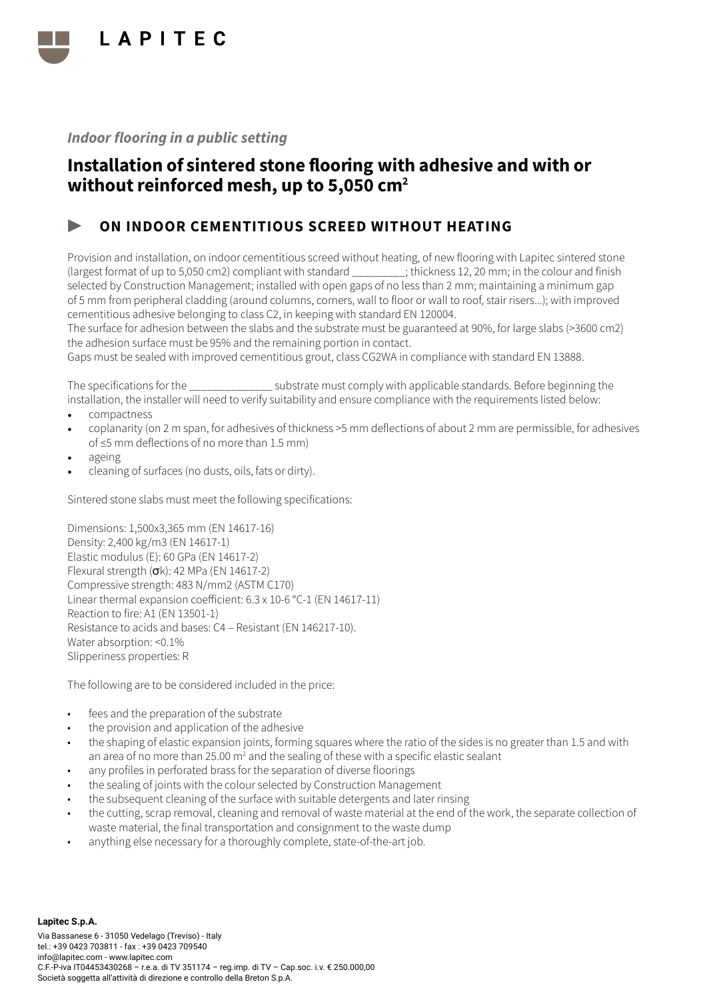

## Installation of sintered stone flooring with adhesive and with or without reinforced mesh, up to 5,050 cm<sup>2</sup>

### ON INDOOR CEMENTITIOUS SCREED WITHOUT HEATING

Provision and installation, on indoor cementitious screed without heating, of new flooring with Lapitec sintered stone (largest format of up to 5,050 cm2) compliant with standard \_\_\_\_\_\_\_\_\_; thickness 12, 20 mm; in the colour and finish selected by Construction Management; installed with open gaps of no less than 2 mm; maintaining a minimum gap of 5 mm from peripheral cladding (around columns, corners, wall to floor or wall to roof, stair risers...); with improved cementitious adhesive belonging to class C2, in keeping with standard EN 120004.

The surface for adhesion between the slabs and the substrate must be guaranteed at 90%, for large slabs (>3600 cm2) the adhesion surface must be 95% and the remaining portion in contact.

Gaps must be sealed with improved cementitious grout, class CG2WA in compliance with standard EN 13888.

The specifications for the  $\sim$  substrate must comply with applicable standards. Before beginning the installation, the installer will need to verify suitability and ensure compliance with the requirements listed below:

- compactness
- coplanarity (on 2 m span, for adhesives of thickness >5 mm deflections of about 2 mm are permissible, for adhesives of ≤5 mm deflections of no more than 1.5 mm)
- ageing
- cleaning of surfaces (no dusts, oils, fats or dirty).

Sintered stone slabs must meet the following specifications:

Dimensions: 1,500x3,365 mm (EN 14617-16) Density: 2,400 kg/m3 (EN 14617-1) Elastic modulus (E): 60 GPa (EN 14617-2) Flexural strength (σk): 42 MPa (EN 14617-2) Compressive strength: 483 N/mm2 (ASTM C170) Linear thermal expansion coefficient: 6.3 x 10-6 °C-1 (EN 14617-11) Reaction to fire: A1 (EN 13501-1) Resistance to acids and bases: C4 – Resistant (EN 146217-10). Water absorption: <0.1% Slipperiness properties: R

- fees and the preparation of the substrate
- the provision and application of the adhesive
- the shaping of elastic expansion joints, forming squares where the ratio of the sides is no greater than 1.5 and with an area of no more than 25.00 m<sup>2</sup> and the sealing of these with a specific elastic sealant
- any profiles in perforated brass for the separation of diverse floorings
- the sealing of joints with the colour selected by Construction Management
- the subsequent cleaning of the surface with suitable detergents and later rinsing
- the cutting, scrap removal, cleaning and removal of waste material at the end of the work, the separate collection of waste material, the final transportation and consignment to the waste dump
- anything else necessary for a thoroughly complete, state-of-the-art job.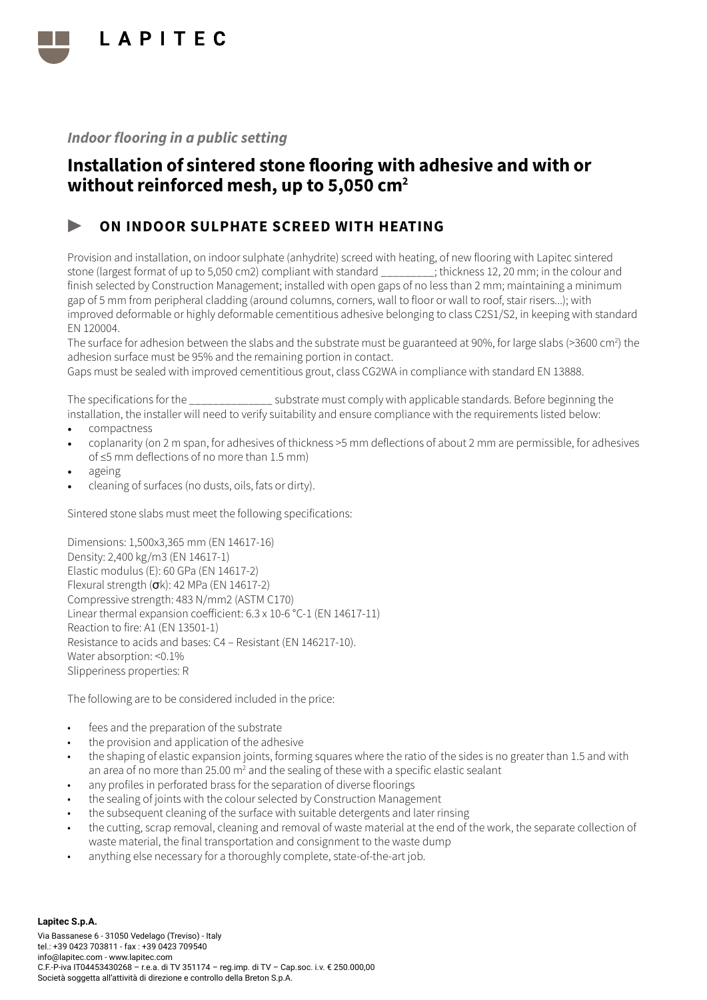

## Installation of sintered stone flooring with adhesive and with or without reinforced mesh, up to 5,050 cm<sup>2</sup>

### ON INDOOR SULPHATE SCREED WITH HEATING

Provision and installation, on indoor sulphate (anhydrite) screed with heating, of new flooring with Lapitec sintered stone (largest format of up to 5,050 cm2) compliant with standard \_\_\_\_\_\_\_\_\_; thickness 12, 20 mm; in the colour and finish selected by Construction Management; installed with open gaps of no less than 2 mm; maintaining a minimum gap of 5 mm from peripheral cladding (around columns, corners, wall to floor or wall to roof, stair risers...); with improved deformable or highly deformable cementitious adhesive belonging to class C2S1/S2, in keeping with standard EN 120004.

The surface for adhesion between the slabs and the substrate must be guaranteed at 90%, for large slabs (>3600 cm<sup>2</sup>) the adhesion surface must be 95% and the remaining portion in contact.

Gaps must be sealed with improved cementitious grout, class CG2WA in compliance with standard EN 13888.

The specifications for the \_\_\_\_\_\_\_\_\_\_\_\_\_\_ substrate must comply with applicable standards. Before beginning the installation, the installer will need to verify suitability and ensure compliance with the requirements listed below:

- compactness
- coplanarity (on 2 m span, for adhesives of thickness >5 mm deflections of about 2 mm are permissible, for adhesives of ≤5 mm deflections of no more than 1.5 mm)
- ageing
- cleaning of surfaces (no dusts, oils, fats or dirty).

Sintered stone slabs must meet the following specifications:

Dimensions: 1,500x3,365 mm (EN 14617-16) Density: 2,400 kg/m3 (EN 14617-1) Elastic modulus (E): 60 GPa (EN 14617-2) Flexural strength  $(\sigma k)$ : 42 MPa (EN 14617-2) Compressive strength: 483 N/mm2 (ASTM C170) Linear thermal expansion coefficient: 6.3 x 10-6 °C-1 (EN 14617-11) Reaction to fire: A1 (EN 13501-1) Resistance to acids and bases: C4 – Resistant (EN 146217-10). Water absorption: <0.1% Slipperiness properties: R

- fees and the preparation of the substrate
- the provision and application of the adhesive
- the shaping of elastic expansion joints, forming squares where the ratio of the sides is no greater than 1.5 and with an area of no more than 25.00 m<sup>2</sup> and the sealing of these with a specific elastic sealant
- any profiles in perforated brass for the separation of diverse floorings
- the sealing of joints with the colour selected by Construction Management
- the subsequent cleaning of the surface with suitable detergents and later rinsing
- the cutting, scrap removal, cleaning and removal of waste material at the end of the work, the separate collection of waste material, the final transportation and consignment to the waste dump
- anything else necessary for a thoroughly complete, state-of-the-art job.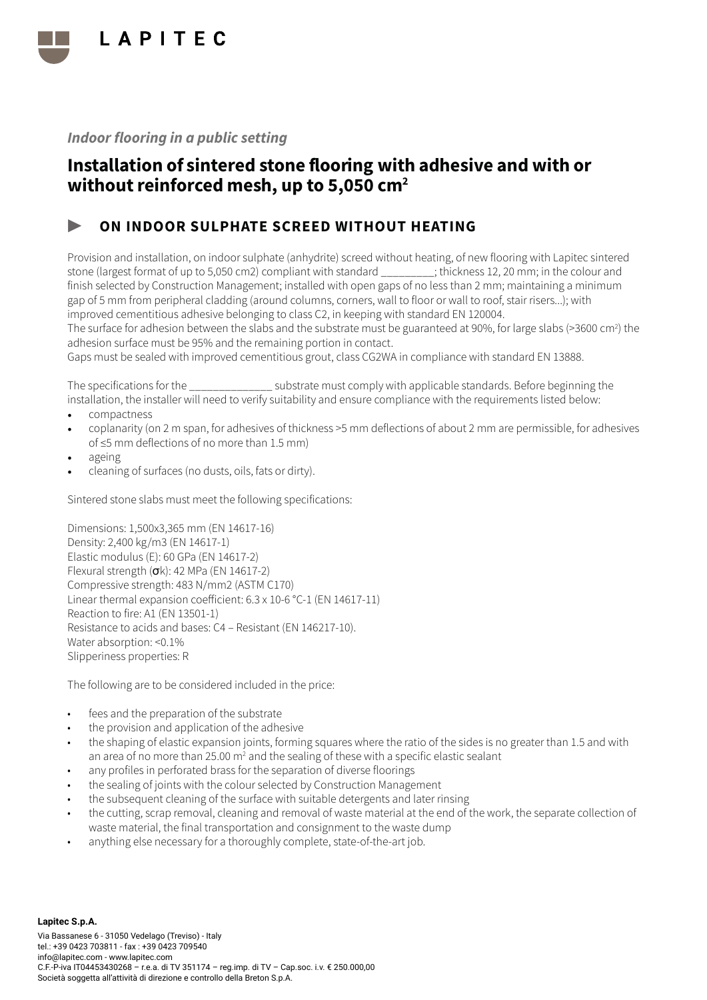

## Installation of sintered stone flooring with adhesive and with or without reinforced mesh, up to 5,050 cm<sup>2</sup>

### ON INDOOR SULPHATE SCREED WITHOUT HEATING

Provision and installation, on indoor sulphate (anhydrite) screed without heating, of new flooring with Lapitec sintered stone (largest format of up to 5,050 cm2) compliant with standard \_\_\_\_\_\_\_\_\_; thickness 12, 20 mm; in the colour and finish selected by Construction Management; installed with open gaps of no less than 2 mm; maintaining a minimum gap of 5 mm from peripheral cladding (around columns, corners, wall to floor or wall to roof, stair risers...); with improved cementitious adhesive belonging to class C2, in keeping with standard EN 120004.

The surface for adhesion between the slabs and the substrate must be guaranteed at 90%, for large slabs (>3600 cm<sup>2</sup>) the adhesion surface must be 95% and the remaining portion in contact.

Gaps must be sealed with improved cementitious grout, class CG2WA in compliance with standard EN 13888.

The specifications for the  $\sim$  substrate must comply with applicable standards. Before beginning the installation, the installer will need to verify suitability and ensure compliance with the requirements listed below:

- compactness
- coplanarity (on 2 m span, for adhesives of thickness >5 mm deflections of about 2 mm are permissible, for adhesives of ≤5 mm deflections of no more than 1.5 mm)
- ageing
- cleaning of surfaces (no dusts, oils, fats or dirty).

Sintered stone slabs must meet the following specifications:

Dimensions: 1,500x3,365 mm (EN 14617-16) Density: 2,400 kg/m3 (EN 14617-1) Elastic modulus (E): 60 GPa (EN 14617-2) Flexural strength (σk): 42 MPa (EN 14617-2) Compressive strength: 483 N/mm2 (ASTM C170) Linear thermal expansion coefficient: 6.3 x 10-6 °C-1 (EN 14617-11) Reaction to fire: A1 (EN 13501-1) Resistance to acids and bases: C4 – Resistant (EN 146217-10). Water absorption: <0.1% Slipperiness properties: R

- fees and the preparation of the substrate
- the provision and application of the adhesive
- the shaping of elastic expansion joints, forming squares where the ratio of the sides is no greater than 1.5 and with an area of no more than 25.00 m<sup>2</sup> and the sealing of these with a specific elastic sealant
- any profiles in perforated brass for the separation of diverse floorings
- the sealing of joints with the colour selected by Construction Management
- the subsequent cleaning of the surface with suitable detergents and later rinsing
- the cutting, scrap removal, cleaning and removal of waste material at the end of the work, the separate collection of waste material, the final transportation and consignment to the waste dump
- anything else necessary for a thoroughly complete, state-of-the-art job.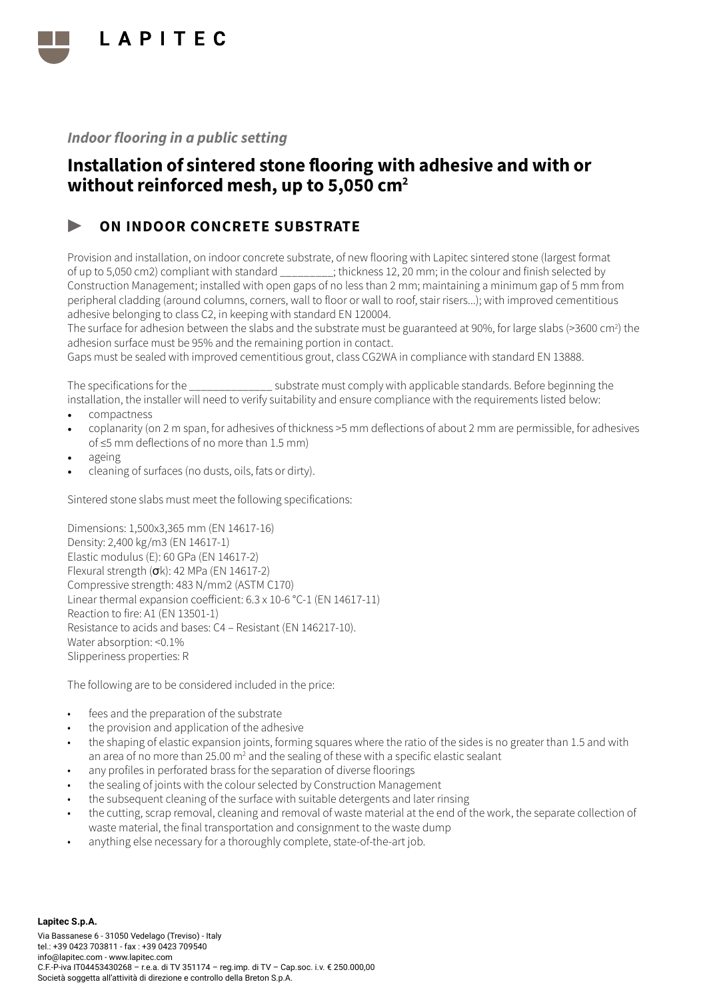

## Installation of sintered stone flooring with adhesive and with or without reinforced mesh, up to 5,050 cm<sup>2</sup>

### ON INDOOR CONCRETE SUBSTRATE

Provision and installation, on indoor concrete substrate, of new flooring with Lapitec sintered stone (largest format of up to 5,050 cm2) compliant with standard \_\_\_\_\_\_\_\_\_; thickness 12, 20 mm; in the colour and finish selected by Construction Management; installed with open gaps of no less than 2 mm; maintaining a minimum gap of 5 mm from peripheral cladding (around columns, corners, wall to floor or wall to roof, stair risers...); with improved cementitious adhesive belonging to class C2, in keeping with standard EN 120004.

The surface for adhesion between the slabs and the substrate must be guaranteed at 90%, for large slabs (>3600 cm<sup>2</sup>) the adhesion surface must be 95% and the remaining portion in contact.

Gaps must be sealed with improved cementitious grout, class CG2WA in compliance with standard EN 13888.

The specifications for the  $\sim$  substrate must comply with applicable standards. Before beginning the installation, the installer will need to verify suitability and ensure compliance with the requirements listed below:

- compactness
- coplanarity (on 2 m span, for adhesives of thickness >5 mm deflections of about 2 mm are permissible, for adhesives of ≤5 mm deflections of no more than 1.5 mm)
- ageing
- cleaning of surfaces (no dusts, oils, fats or dirty).

Sintered stone slabs must meet the following specifications:

Dimensions: 1,500x3,365 mm (EN 14617-16) Density: 2,400 kg/m3 (EN 14617-1) Elastic modulus (E): 60 GPa (EN 14617-2) Flexural strength (σk): 42 MPa (EN 14617-2) Compressive strength: 483 N/mm2 (ASTM C170) Linear thermal expansion coefficient: 6.3 x 10-6 °C-1 (EN 14617-11) Reaction to fire: A1 (EN 13501-1) Resistance to acids and bases: C4 – Resistant (EN 146217-10). Water absorption: <0.1% Slipperiness properties: R

- fees and the preparation of the substrate
- the provision and application of the adhesive
- the shaping of elastic expansion joints, forming squares where the ratio of the sides is no greater than 1.5 and with an area of no more than 25.00 m<sup>2</sup> and the sealing of these with a specific elastic sealant
- any profiles in perforated brass for the separation of diverse floorings
- the sealing of joints with the colour selected by Construction Management
- the subsequent cleaning of the surface with suitable detergents and later rinsing
- the cutting, scrap removal, cleaning and removal of waste material at the end of the work, the separate collection of waste material, the final transportation and consignment to the waste dump
- anything else necessary for a thoroughly complete, state-of-the-art job.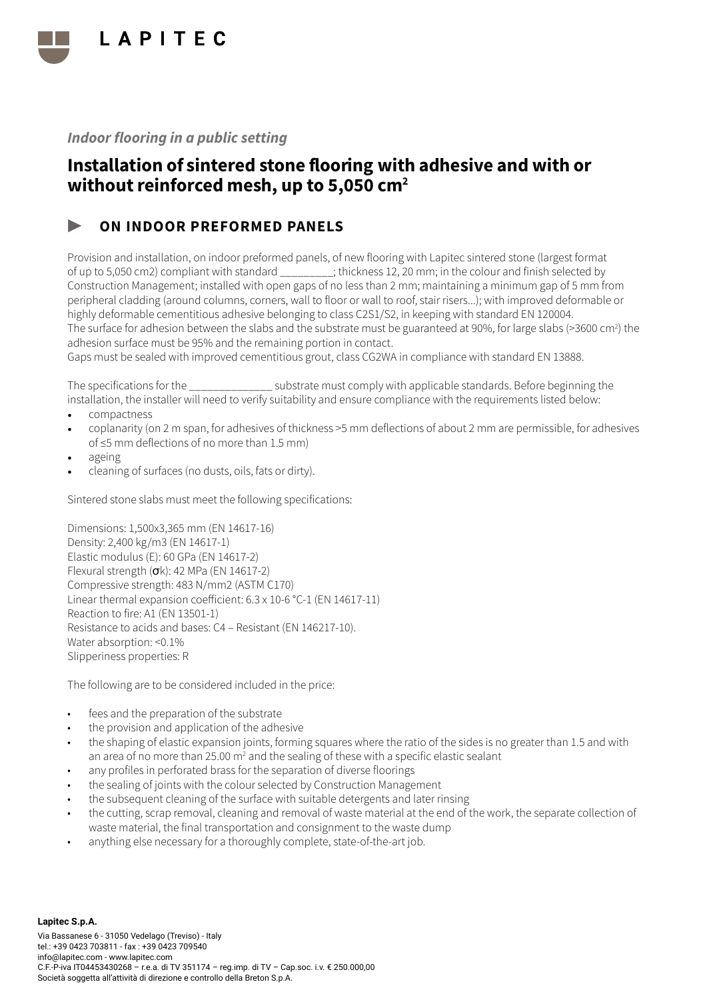

## Installation of sintered stone flooring with adhesive and with or without reinforced mesh, up to 5,050 cm<sup>2</sup>

### ON INDOOR PREFORMED PANELS

Provision and installation, on indoor preformed panels, of new flooring with Lapitec sintered stone (largest format of up to 5,050 cm2) compliant with standard \_\_\_\_\_\_\_\_\_; thickness 12, 20 mm; in the colour and finish selected by Construction Management; installed with open gaps of no less than 2 mm; maintaining a minimum gap of 5 mm from peripheral cladding (around columns, corners, wall to floor or wall to roof, stair risers...); with improved deformable or highly deformable cementitious adhesive belonging to class C2S1/S2, in keeping with standard EN 120004. The surface for adhesion between the slabs and the substrate must be guaranteed at 90%, for large slabs (>3600 cm<sup>2</sup>) the adhesion surface must be 95% and the remaining portion in contact.

Gaps must be sealed with improved cementitious grout, class CG2WA in compliance with standard EN 13888.

The specifications for the  $\sim$  substrate must comply with applicable standards. Before beginning the installation, the installer will need to verify suitability and ensure compliance with the requirements listed below:

- compactness
- coplanarity (on 2 m span, for adhesives of thickness >5 mm deflections of about 2 mm are permissible, for adhesives of ≤5 mm deflections of no more than 1.5 mm)
- ageing
- cleaning of surfaces (no dusts, oils, fats or dirty).

Sintered stone slabs must meet the following specifications:

Dimensions: 1,500x3,365 mm (EN 14617-16) Density: 2,400 kg/m3 (EN 14617-1) Elastic modulus (E): 60 GPa (EN 14617-2) Flexural strength (σk): 42 MPa (EN 14617-2) Compressive strength: 483 N/mm2 (ASTM C170) Linear thermal expansion coefficient: 6.3 x 10-6 °C-1 (EN 14617-11) Reaction to fire: A1 (EN 13501-1) Resistance to acids and bases: C4 – Resistant (EN 146217-10). Water absorption: <0.1% Slipperiness properties: R

- fees and the preparation of the substrate
- the provision and application of the adhesive
- the shaping of elastic expansion joints, forming squares where the ratio of the sides is no greater than 1.5 and with an area of no more than 25.00 m<sup>2</sup> and the sealing of these with a specific elastic sealant
- any profiles in perforated brass for the separation of diverse floorings
- the sealing of joints with the colour selected by Construction Management
- the subsequent cleaning of the surface with suitable detergents and later rinsing
- the cutting, scrap removal, cleaning and removal of waste material at the end of the work, the separate collection of waste material, the final transportation and consignment to the waste dump
- anything else necessary for a thoroughly complete, state-of-the-art job.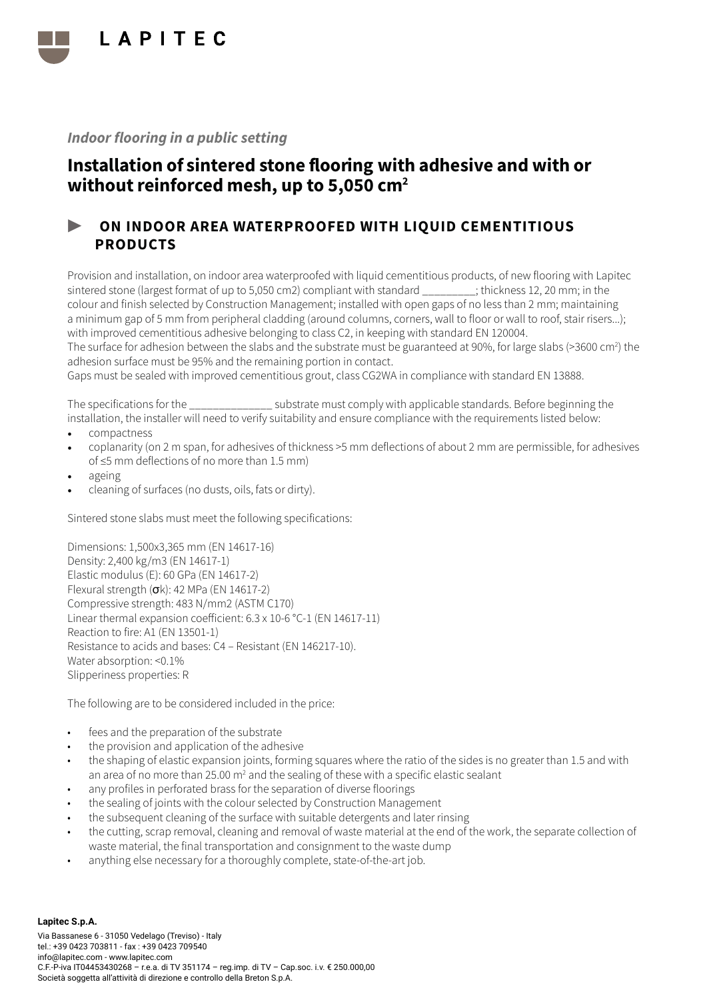

## Installation of sintered stone flooring with adhesive and with or without reinforced mesh, up to 5,050 cm<sup>2</sup>

### ▶ ON INDOOR AREA WATERPROOFED WITH LIQUID CEMENTITIOUS PRODUCTS

Provision and installation, on indoor area waterproofed with liquid cementitious products, of new flooring with Lapitec sintered stone (largest format of up to 5,050 cm2) compliant with standard ; thickness 12, 20 mm; in the colour and finish selected by Construction Management; installed with open gaps of no less than 2 mm; maintaining a minimum gap of 5 mm from peripheral cladding (around columns, corners, wall to floor or wall to roof, stair risers...); with improved cementitious adhesive belonging to class C2, in keeping with standard EN 120004.

The surface for adhesion between the slabs and the substrate must be guaranteed at 90%, for large slabs (>3600 cm<sup>2</sup>) the adhesion surface must be 95% and the remaining portion in contact.

Gaps must be sealed with improved cementitious grout, class CG2WA in compliance with standard EN 13888.

The specifications for the  $\qquad \qquad$  substrate must comply with applicable standards. Before beginning the installation, the installer will need to verify suitability and ensure compliance with the requirements listed below:

- compactness
- coplanarity (on 2 m span, for adhesives of thickness >5 mm deflections of about 2 mm are permissible, for adhesives of ≤5 mm deflections of no more than 1.5 mm)
- ageing
- cleaning of surfaces (no dusts, oils, fats or dirty).

Sintered stone slabs must meet the following specifications:

Dimensions: 1,500x3,365 mm (EN 14617-16) Density: 2,400 kg/m3 (EN 14617-1) Elastic modulus (E): 60 GPa (EN 14617-2) Flexural strength (σk): 42 MPa (EN 14617-2) Compressive strength: 483 N/mm2 (ASTM C170) Linear thermal expansion coefficient: 6.3 x 10-6 °C-1 (EN 14617-11) Reaction to fire: A1 (EN 13501-1) Resistance to acids and bases: C4 – Resistant (EN 146217-10). Water absorption: <0.1% Slipperiness properties: R

- fees and the preparation of the substrate
- the provision and application of the adhesive
- the shaping of elastic expansion joints, forming squares where the ratio of the sides is no greater than 1.5 and with an area of no more than 25.00 m<sup>2</sup> and the sealing of these with a specific elastic sealant
- any profiles in perforated brass for the separation of diverse floorings
- the sealing of joints with the colour selected by Construction Management
- the subsequent cleaning of the surface with suitable detergents and later rinsing
- the cutting, scrap removal, cleaning and removal of waste material at the end of the work, the separate collection of waste material, the final transportation and consignment to the waste dump
- anything else necessary for a thoroughly complete, state-of-the-art job.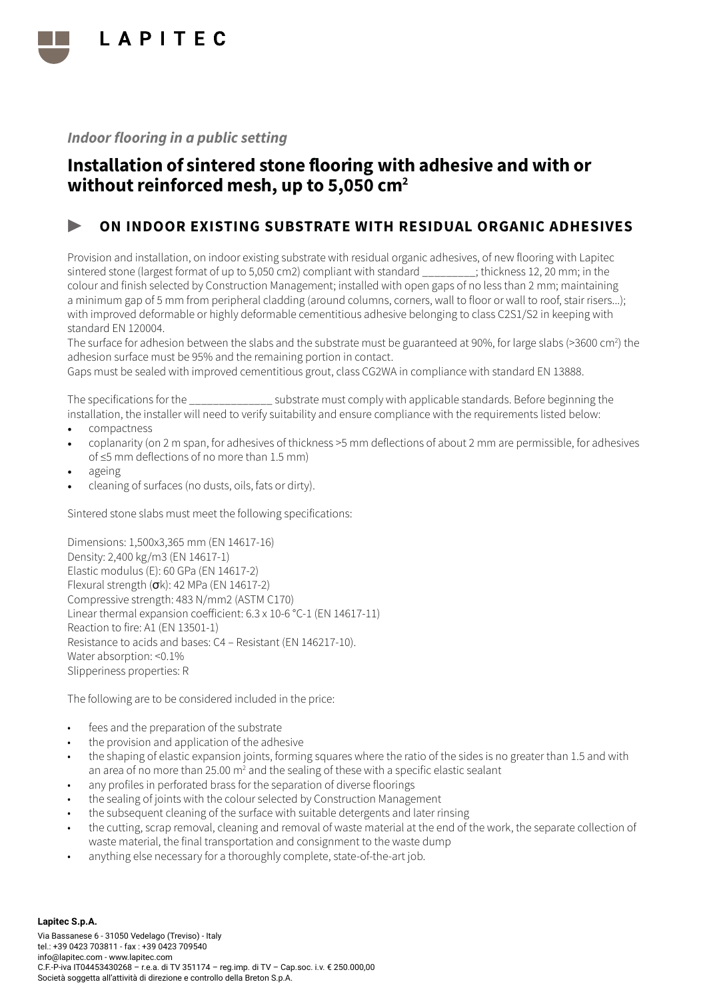

## Installation of sintered stone flooring with adhesive and with or without reinforced mesh, up to 5,050 cm<sup>2</sup>

### ON INDOOR EXISTING SUBSTRATE WITH RESIDUAL ORGANIC ADHESIVES

Provision and installation, on indoor existing substrate with residual organic adhesives, of new flooring with Lapitec sintered stone (largest format of up to 5,050 cm2) compliant with standard \_\_\_\_\_\_\_\_\_; thickness 12, 20 mm; in the colour and finish selected by Construction Management; installed with open gaps of no less than 2 mm; maintaining a minimum gap of 5 mm from peripheral cladding (around columns, corners, wall to floor or wall to roof, stair risers...); with improved deformable or highly deformable cementitious adhesive belonging to class C2S1/S2 in keeping with standard EN 120004.

The surface for adhesion between the slabs and the substrate must be guaranteed at 90%, for large slabs (>3600 cm<sup>2</sup>) the adhesion surface must be 95% and the remaining portion in contact.

Gaps must be sealed with improved cementitious grout, class CG2WA in compliance with standard EN 13888.

The specifications for the \_\_\_\_\_\_\_\_\_\_\_\_\_\_ substrate must comply with applicable standards. Before beginning the installation, the installer will need to verify suitability and ensure compliance with the requirements listed below:

- compactness
- coplanarity (on 2 m span, for adhesives of thickness >5 mm deflections of about 2 mm are permissible, for adhesives of ≤5 mm deflections of no more than 1.5 mm)
- ageing
- cleaning of surfaces (no dusts, oils, fats or dirty).

Sintered stone slabs must meet the following specifications:

Dimensions: 1,500x3,365 mm (EN 14617-16) Density: 2,400 kg/m3 (EN 14617-1) Elastic modulus (E): 60 GPa (EN 14617-2) Flexural strength  $(\sigma k)$ : 42 MPa (EN 14617-2) Compressive strength: 483 N/mm2 (ASTM C170) Linear thermal expansion coefficient: 6.3 x 10-6 °C-1 (EN 14617-11) Reaction to fire: A1 (EN 13501-1) Resistance to acids and bases: C4 – Resistant (EN 146217-10). Water absorption: <0.1% Slipperiness properties: R

- fees and the preparation of the substrate
- the provision and application of the adhesive
- the shaping of elastic expansion joints, forming squares where the ratio of the sides is no greater than 1.5 and with an area of no more than 25.00 m<sup>2</sup> and the sealing of these with a specific elastic sealant
- any profiles in perforated brass for the separation of diverse floorings
- the sealing of joints with the colour selected by Construction Management
- the subsequent cleaning of the surface with suitable detergents and later rinsing
- the cutting, scrap removal, cleaning and removal of waste material at the end of the work, the separate collection of waste material, the final transportation and consignment to the waste dump
- anything else necessary for a thoroughly complete, state-of-the-art job.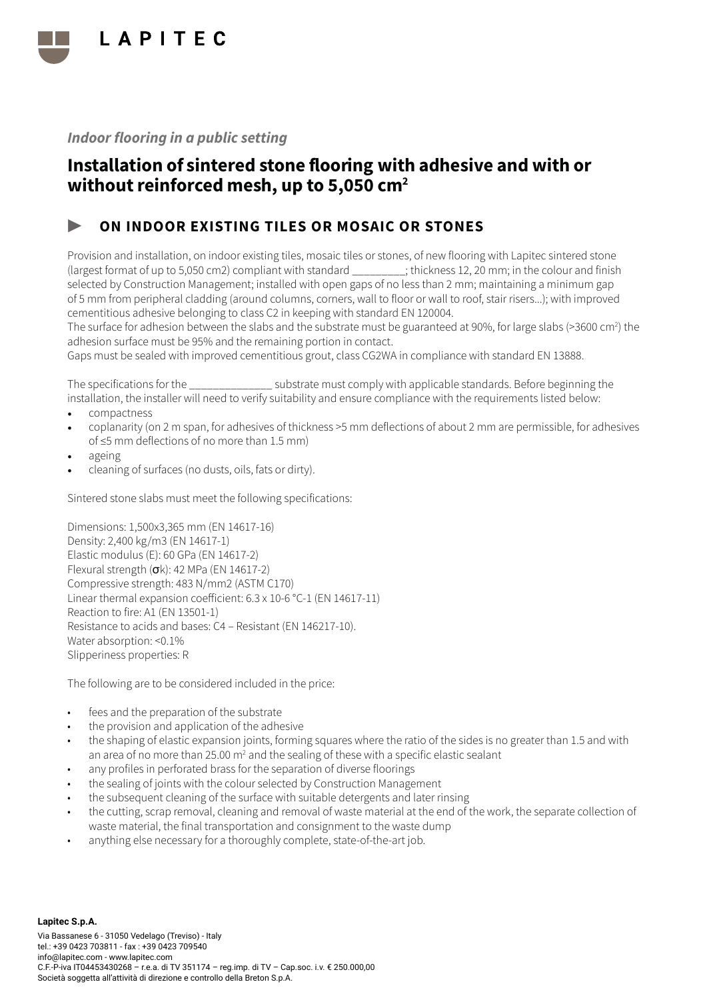

## Installation of sintered stone flooring with adhesive and with or without reinforced mesh, up to 5,050 cm<sup>2</sup>

### ON INDOOR EXISTING TILES OR MOSAIC OR STONES

Provision and installation, on indoor existing tiles, mosaic tiles or stones, of new flooring with Lapitec sintered stone (largest format of up to 5,050 cm2) compliant with standard \_\_\_\_\_\_\_\_\_; thickness 12, 20 mm; in the colour and finish selected by Construction Management; installed with open gaps of no less than 2 mm; maintaining a minimum gap of 5 mm from peripheral cladding (around columns, corners, wall to floor or wall to roof, stair risers...); with improved cementitious adhesive belonging to class C2 in keeping with standard EN 120004.

The surface for adhesion between the slabs and the substrate must be guaranteed at 90%, for large slabs (>3600 cm<sup>2</sup>) the adhesion surface must be 95% and the remaining portion in contact.

Gaps must be sealed with improved cementitious grout, class CG2WA in compliance with standard EN 13888.

The specifications for the \_\_\_\_\_\_\_\_\_\_\_\_\_\_ substrate must comply with applicable standards. Before beginning the installation, the installer will need to verify suitability and ensure compliance with the requirements listed below:

- compactness
- coplanarity (on 2 m span, for adhesives of thickness >5 mm deflections of about 2 mm are permissible, for adhesives of ≤5 mm deflections of no more than 1.5 mm)
- ageing
- cleaning of surfaces (no dusts, oils, fats or dirty).

Sintered stone slabs must meet the following specifications:

Dimensions: 1,500x3,365 mm (EN 14617-16) Density: 2,400 kg/m3 (EN 14617-1) Elastic modulus (E): 60 GPa (EN 14617-2) Flexural strength  $(\sigma k)$ : 42 MPa (EN 14617-2) Compressive strength: 483 N/mm2 (ASTM C170) Linear thermal expansion coefficient: 6.3 x 10-6 °C-1 (EN 14617-11) Reaction to fire: A1 (EN 13501-1) Resistance to acids and bases: C4 – Resistant (EN 146217-10). Water absorption: <0.1% Slipperiness properties: R

- fees and the preparation of the substrate
- the provision and application of the adhesive
- the shaping of elastic expansion joints, forming squares where the ratio of the sides is no greater than 1.5 and with an area of no more than 25.00 m<sup>2</sup> and the sealing of these with a specific elastic sealant
- any profiles in perforated brass for the separation of diverse floorings
- the sealing of joints with the colour selected by Construction Management
- the subsequent cleaning of the surface with suitable detergents and later rinsing
- the cutting, scrap removal, cleaning and removal of waste material at the end of the work, the separate collection of waste material, the final transportation and consignment to the waste dump
- anything else necessary for a thoroughly complete, state-of-the-art job.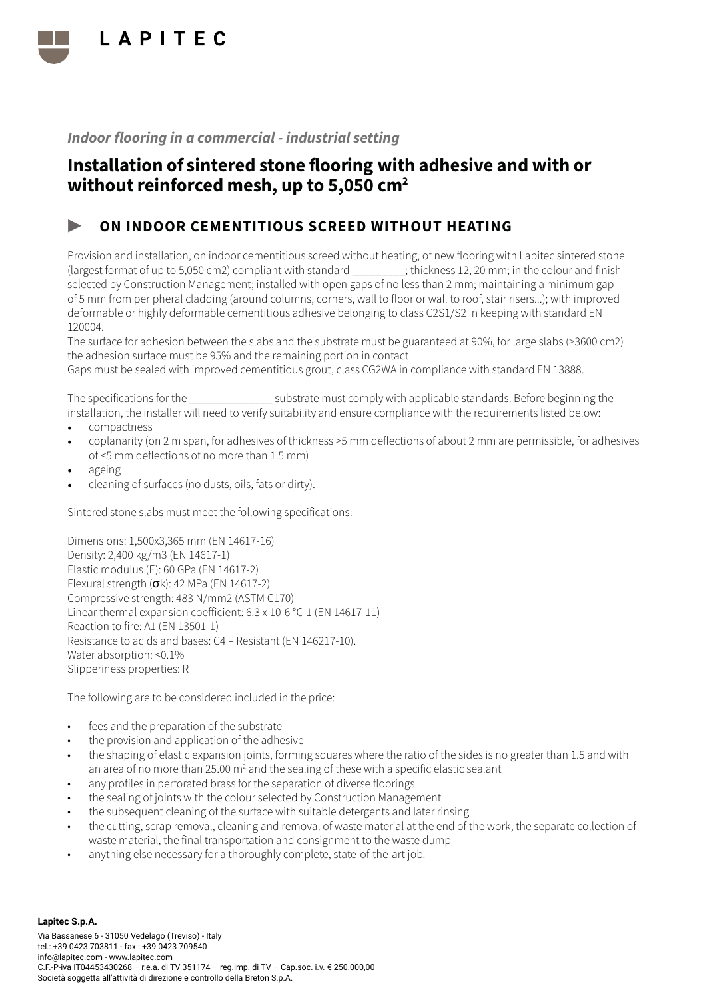

## Installation of sintered stone flooring with adhesive and with or without reinforced mesh, up to 5,050 cm<sup>2</sup>

### ON INDOOR CEMENTITIOUS SCREED WITHOUT HEATING

Provision and installation, on indoor cementitious screed without heating, of new flooring with Lapitec sintered stone (largest format of up to 5,050 cm2) compliant with standard \_\_\_\_\_\_\_\_\_; thickness 12, 20 mm; in the colour and finish selected by Construction Management; installed with open gaps of no less than 2 mm; maintaining a minimum gap of 5 mm from peripheral cladding (around columns, corners, wall to floor or wall to roof, stair risers...); with improved deformable or highly deformable cementitious adhesive belonging to class C2S1/S2 in keeping with standard EN 120004.

The surface for adhesion between the slabs and the substrate must be guaranteed at 90%, for large slabs (>3600 cm2) the adhesion surface must be 95% and the remaining portion in contact.

Gaps must be sealed with improved cementitious grout, class CG2WA in compliance with standard EN 13888.

The specifications for the  $\sim$  substrate must comply with applicable standards. Before beginning the installation, the installer will need to verify suitability and ensure compliance with the requirements listed below:

- compactness
- coplanarity (on 2 m span, for adhesives of thickness >5 mm deflections of about 2 mm are permissible, for adhesives of ≤5 mm deflections of no more than 1.5 mm)
- ageing
- cleaning of surfaces (no dusts, oils, fats or dirty).

Sintered stone slabs must meet the following specifications:

Dimensions: 1,500x3,365 mm (EN 14617-16) Density: 2,400 kg/m3 (EN 14617-1) Elastic modulus (E): 60 GPa (EN 14617-2) Flexural strength  $(\sigma k)$ : 42 MPa (EN 14617-2) Compressive strength: 483 N/mm2 (ASTM C170) Linear thermal expansion coefficient: 6.3 x 10-6 °C-1 (EN 14617-11) Reaction to fire: A1 (EN 13501-1) Resistance to acids and bases: C4 – Resistant (EN 146217-10). Water absorption: <0.1% Slipperiness properties: R

- fees and the preparation of the substrate
- the provision and application of the adhesive
- the shaping of elastic expansion joints, forming squares where the ratio of the sides is no greater than 1.5 and with an area of no more than 25.00 m<sup>2</sup> and the sealing of these with a specific elastic sealant
- any profiles in perforated brass for the separation of diverse floorings
- the sealing of joints with the colour selected by Construction Management
- the subsequent cleaning of the surface with suitable detergents and later rinsing
- the cutting, scrap removal, cleaning and removal of waste material at the end of the work, the separate collection of waste material, the final transportation and consignment to the waste dump
- anything else necessary for a thoroughly complete, state-of-the-art job.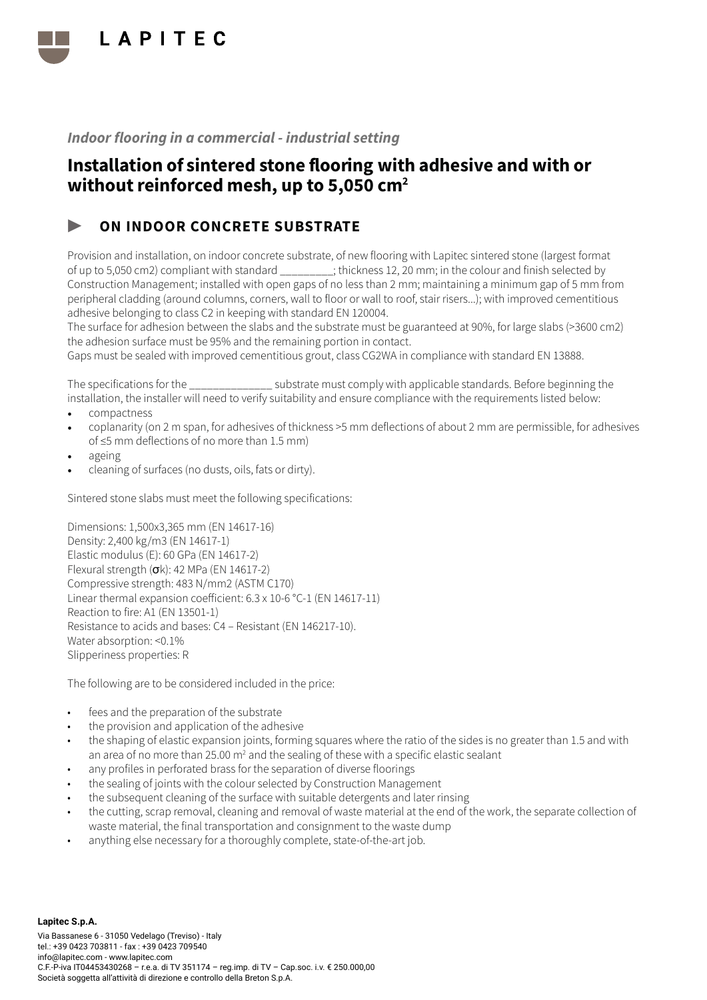

## Installation of sintered stone flooring with adhesive and with or without reinforced mesh, up to 5,050 cm<sup>2</sup>

### ON INDOOR CONCRETE SUBSTRATE

Provision and installation, on indoor concrete substrate, of new flooring with Lapitec sintered stone (largest format of up to 5,050 cm2) compliant with standard \_\_\_\_\_\_\_\_\_; thickness 12, 20 mm; in the colour and finish selected by Construction Management; installed with open gaps of no less than 2 mm; maintaining a minimum gap of 5 mm from peripheral cladding (around columns, corners, wall to floor or wall to roof, stair risers...); with improved cementitious adhesive belonging to class C2 in keeping with standard EN 120004.

The surface for adhesion between the slabs and the substrate must be guaranteed at 90%, for large slabs (>3600 cm2) the adhesion surface must be 95% and the remaining portion in contact.

Gaps must be sealed with improved cementitious grout, class CG2WA in compliance with standard EN 13888.

The specifications for the \_\_\_\_\_\_\_\_\_\_\_\_\_\_ substrate must comply with applicable standards. Before beginning the installation, the installer will need to verify suitability and ensure compliance with the requirements listed below:

- compactness
- coplanarity (on 2 m span, for adhesives of thickness >5 mm deflections of about 2 mm are permissible, for adhesives of ≤5 mm deflections of no more than 1.5 mm)
- ageing
- cleaning of surfaces (no dusts, oils, fats or dirty).

Sintered stone slabs must meet the following specifications:

Dimensions: 1,500x3,365 mm (EN 14617-16) Density: 2,400 kg/m3 (EN 14617-1) Elastic modulus (E): 60 GPa (EN 14617-2) Flexural strength  $(\sigma k)$ : 42 MPa (EN 14617-2) Compressive strength: 483 N/mm2 (ASTM C170) Linear thermal expansion coefficient: 6.3 x 10-6 °C-1 (EN 14617-11) Reaction to fire: A1 (EN 13501-1) Resistance to acids and bases: C4 – Resistant (EN 146217-10). Water absorption: <0.1% Slipperiness properties: R

- fees and the preparation of the substrate
- the provision and application of the adhesive
- the shaping of elastic expansion joints, forming squares where the ratio of the sides is no greater than 1.5 and with an area of no more than 25.00 m<sup>2</sup> and the sealing of these with a specific elastic sealant
- any profiles in perforated brass for the separation of diverse floorings
- the sealing of joints with the colour selected by Construction Management
- the subsequent cleaning of the surface with suitable detergents and later rinsing
- the cutting, scrap removal, cleaning and removal of waste material at the end of the work, the separate collection of waste material, the final transportation and consignment to the waste dump
- anything else necessary for a thoroughly complete, state-of-the-art job.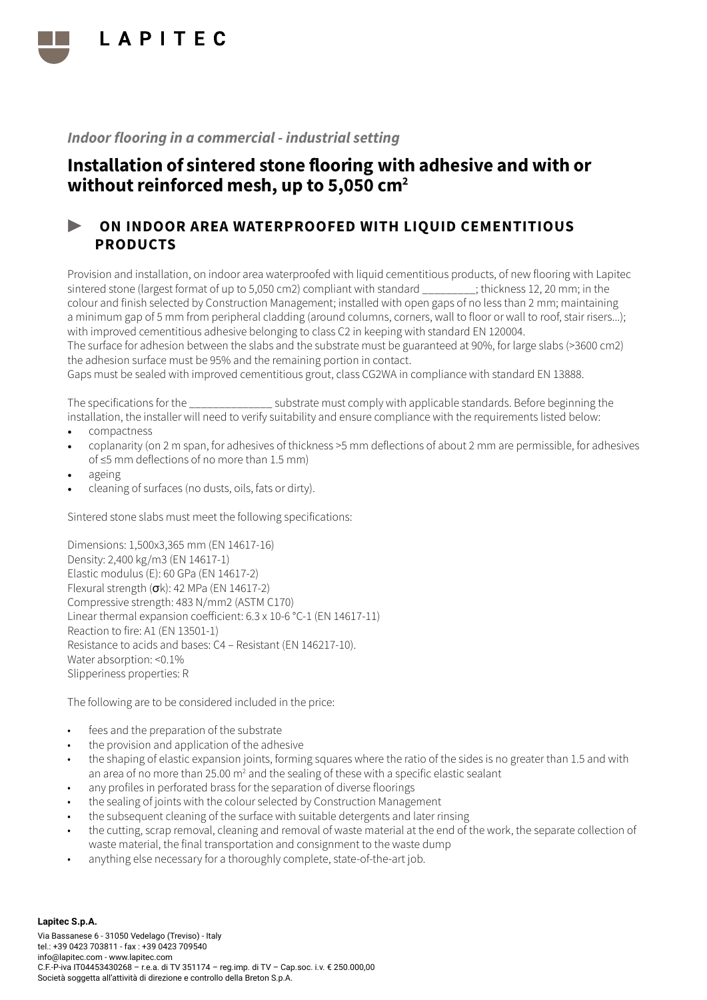

## Installation of sintered stone flooring with adhesive and with or without reinforced mesh, up to 5,050 cm<sup>2</sup>

### ▶ ON INDOOR AREA WATERPROOFED WITH LIQUID CEMENTITIOUS PRODUCTS

Provision and installation, on indoor area waterproofed with liquid cementitious products, of new flooring with Lapitec sintered stone (largest format of up to 5,050 cm2) compliant with standard \_\_\_\_\_\_\_\_\_; thickness 12, 20 mm; in the colour and finish selected by Construction Management; installed with open gaps of no less than 2 mm; maintaining a minimum gap of 5 mm from peripheral cladding (around columns, corners, wall to floor or wall to roof, stair risers...); with improved cementitious adhesive belonging to class C2 in keeping with standard EN 120004.

The surface for adhesion between the slabs and the substrate must be guaranteed at 90%, for large slabs (>3600 cm2) the adhesion surface must be 95% and the remaining portion in contact.

Gaps must be sealed with improved cementitious grout, class CG2WA in compliance with standard EN 13888.

The specifications for the \_\_\_\_\_\_\_\_\_\_\_\_\_\_ substrate must comply with applicable standards. Before beginning the installation, the installer will need to verify suitability and ensure compliance with the requirements listed below:

- compactness
- coplanarity (on 2 m span, for adhesives of thickness >5 mm deflections of about 2 mm are permissible, for adhesives of ≤5 mm deflections of no more than 1.5 mm)
- ageing
- cleaning of surfaces (no dusts, oils, fats or dirty).

Sintered stone slabs must meet the following specifications:

Dimensions: 1,500x3,365 mm (EN 14617-16) Density: 2,400 kg/m3 (EN 14617-1) Elastic modulus (E): 60 GPa (EN 14617-2) Flexural strength  $(\sigma k)$ : 42 MPa (EN 14617-2) Compressive strength: 483 N/mm2 (ASTM C170) Linear thermal expansion coefficient: 6.3 x 10-6 °C-1 (EN 14617-11) Reaction to fire: A1 (EN 13501-1) Resistance to acids and bases: C4 – Resistant (EN 146217-10). Water absorption: <0.1% Slipperiness properties: R

- fees and the preparation of the substrate
- the provision and application of the adhesive
- the shaping of elastic expansion joints, forming squares where the ratio of the sides is no greater than 1.5 and with an area of no more than 25.00 m<sup>2</sup> and the sealing of these with a specific elastic sealant
- any profiles in perforated brass for the separation of diverse floorings
- the sealing of joints with the colour selected by Construction Management
- the subsequent cleaning of the surface with suitable detergents and later rinsing
- the cutting, scrap removal, cleaning and removal of waste material at the end of the work, the separate collection of waste material, the final transportation and consignment to the waste dump
- anything else necessary for a thoroughly complete, state-of-the-art job.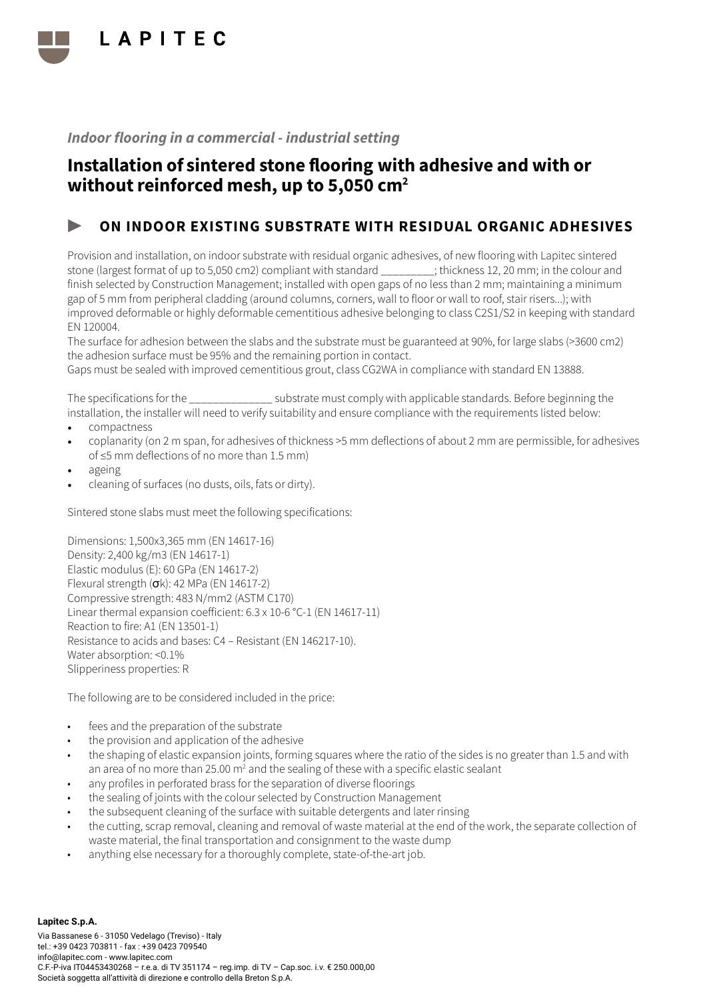

## Installation of sintered stone flooring with adhesive and with or without reinforced mesh, up to 5,050 cm<sup>2</sup>

### ON INDOOR EXISTING SUBSTRATE WITH RESIDUAL ORGANIC ADHESIVES

Provision and installation, on indoor substrate with residual organic adhesives, of new flooring with Lapitec sintered stone (largest format of up to 5,050 cm2) compliant with standard \_\_\_\_\_\_\_\_\_; thickness 12, 20 mm; in the colour and finish selected by Construction Management; installed with open gaps of no less than 2 mm; maintaining a minimum gap of 5 mm from peripheral cladding (around columns, corners, wall to floor or wall to roof, stair risers...); with improved deformable or highly deformable cementitious adhesive belonging to class C2S1/S2 in keeping with standard EN 120004.

The surface for adhesion between the slabs and the substrate must be guaranteed at 90%, for large slabs (>3600 cm2) the adhesion surface must be 95% and the remaining portion in contact.

Gaps must be sealed with improved cementitious grout, class CG2WA in compliance with standard EN 13888.

The specifications for the  $\sim$  substrate must comply with applicable standards. Before beginning the installation, the installer will need to verify suitability and ensure compliance with the requirements listed below:

- compactness
- coplanarity (on 2 m span, for adhesives of thickness >5 mm deflections of about 2 mm are permissible, for adhesives of ≤5 mm deflections of no more than 1.5 mm)
- ageing
- cleaning of surfaces (no dusts, oils, fats or dirty).

Sintered stone slabs must meet the following specifications:

Dimensions: 1,500x3,365 mm (EN 14617-16) Density: 2,400 kg/m3 (EN 14617-1) Elastic modulus (E): 60 GPa (EN 14617-2) Flexural strength  $(\sigma k)$ : 42 MPa (EN 14617-2) Compressive strength: 483 N/mm2 (ASTM C170) Linear thermal expansion coefficient: 6.3 x 10-6 °C-1 (EN 14617-11) Reaction to fire: A1 (EN 13501-1) Resistance to acids and bases: C4 – Resistant (EN 146217-10). Water absorption: <0.1% Slipperiness properties: R

- fees and the preparation of the substrate
- the provision and application of the adhesive
- the shaping of elastic expansion joints, forming squares where the ratio of the sides is no greater than 1.5 and with an area of no more than 25.00 m<sup>2</sup> and the sealing of these with a specific elastic sealant
- any profiles in perforated brass for the separation of diverse floorings
- the sealing of joints with the colour selected by Construction Management
- the subsequent cleaning of the surface with suitable detergents and later rinsing
- the cutting, scrap removal, cleaning and removal of waste material at the end of the work, the separate collection of waste material, the final transportation and consignment to the waste dump
- anything else necessary for a thoroughly complete, state-of-the-art job.